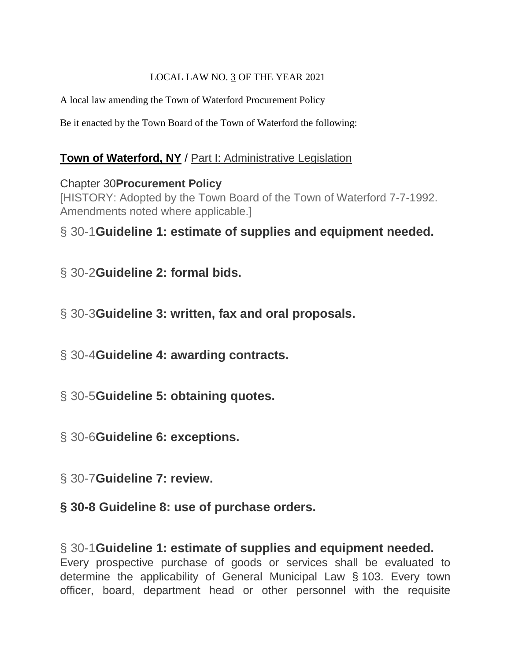#### LOCAL LAW NO. 3 OF THE YEAR 2021

A local law amending the Town of Waterford Procurement Policy

Be it enacted by the Town Board of the Town of Waterford the following:

#### **[Town of Waterford, NY](https://ecode360.com/WA0791)** / [Part I: Administrative Legislation](https://ecode360.com/28786880)

#### Chapter 30**[Procurement Policy](https://ecode360.com/13677656)**

[HISTORY: Adopted by the Town Board of the Town of Waterford 7-7-1992. Amendments noted where applicable.]

## § 30-1**[Guideline 1: estimate of supplies and equipment needed.](https://ecode360.com/13677656#13677657)**

- § 30-2**[Guideline 2: formal bids.](https://ecode360.com/13677656#13677658)**
- § 30-3**[Guideline 3: written, fax and oral proposals.](https://ecode360.com/13677656#13677659)**
- § 30-4**[Guideline 4: awarding contracts.](https://ecode360.com/13677656#13677670)**
- § 30-5**[Guideline 5: obtaining quotes.](https://ecode360.com/13677656#13677671)**
- § 30-6**[Guideline 6: exceptions.](https://ecode360.com/13677656#13677672)**
- § 30-7**[Guideline 7: review.](https://ecode360.com/13677656#13677682)**
- **§ 30-8 Guideline 8: use of purchase orders.**

#### § 30-1**[Guideline 1: estimate of supplies and equipment needed.](https://ecode360.com/13677656#13677657)** Every prospective purchase of goods or services shall be evaluated to determine the applicability of General Municipal Law § 103. Every town officer, board, department head or other personnel with the requisite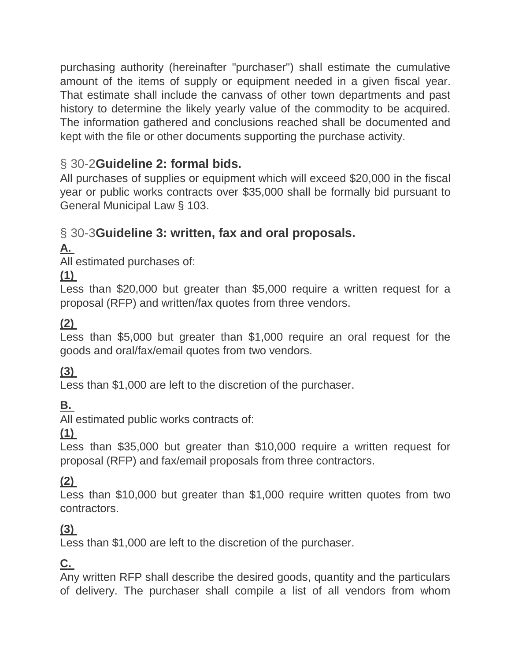purchasing authority (hereinafter "purchaser") shall estimate the cumulative amount of the items of supply or equipment needed in a given fiscal year. That estimate shall include the canvass of other town departments and past history to determine the likely yearly value of the commodity to be acquired. The information gathered and conclusions reached shall be documented and kept with the file or other documents supporting the purchase activity.

# § 30-2**[Guideline 2: formal bids.](https://ecode360.com/13677656#13677658)**

All purchases of supplies or equipment which will exceed \$20,000 in the fiscal year or public works contracts over \$35,000 shall be formally bid pursuant to General Municipal Law § 103.

# § 30-3**[Guideline 3: written, fax and oral proposals.](https://ecode360.com/13677656#13677659)**

# **[A.](https://ecode360.com/13677660#13677660)**

All estimated purchases of:

## **[\(1\)](https://ecode360.com/13677661#13677661)**

Less than \$20,000 but greater than \$5,000 require a written request for a proposal (RFP) and written/fax quotes from three vendors.

# **[\(2\)](https://ecode360.com/13677662#13677662)**

Less than \$5,000 but greater than \$1,000 require an oral request for the goods and oral/fax/email quotes from two vendors.

## **[\(3\)](https://ecode360.com/13677663#13677663)**

Less than \$1,000 are left to the discretion of the purchaser.

# **[B.](https://ecode360.com/13677664#13677664)**

All estimated public works contracts of:

**[\(1\)](https://ecode360.com/13677665#13677665)**

Less than \$35,000 but greater than \$10,000 require a written request for proposal (RFP) and fax/email proposals from three contractors.

## **[\(2\)](https://ecode360.com/13677666#13677666)**

Less than \$10,000 but greater than \$1,000 require written quotes from two contractors.

## **[\(3\)](https://ecode360.com/13677667#13677667)**

Less than \$1,000 are left to the discretion of the purchaser.

# **[C.](https://ecode360.com/13677668#13677668)**

Any written RFP shall describe the desired goods, quantity and the particulars of delivery. The purchaser shall compile a list of all vendors from whom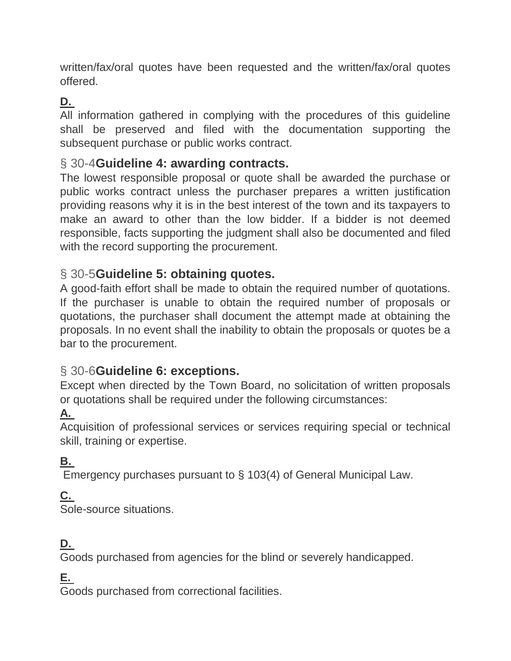written/fax/oral quotes have been requested and the written/fax/oral quotes offered.

## **[D.](https://ecode360.com/13677669#13677669)**

All information gathered in complying with the procedures of this guideline shall be preserved and filed with the documentation supporting the subsequent purchase or public works contract.

#### § 30-4**[Guideline 4: awarding contracts.](https://ecode360.com/13677656#13677670)**

The lowest responsible proposal or quote shall be awarded the purchase or public works contract unless the purchaser prepares a written justification providing reasons why it is in the best interest of the town and its taxpayers to make an award to other than the low bidder. If a bidder is not deemed responsible, facts supporting the judgment shall also be documented and filed with the record supporting the procurement.

#### § 30-5**[Guideline 5: obtaining quotes.](https://ecode360.com/13677656#13677671)**

A good-faith effort shall be made to obtain the required number of quotations. If the purchaser is unable to obtain the required number of proposals or quotations, the purchaser shall document the attempt made at obtaining the proposals. In no event shall the inability to obtain the proposals or quotes be a bar to the procurement.

## § 30-6**[Guideline 6: exceptions.](https://ecode360.com/13677656#13677672)**

Except when directed by the Town Board, no solicitation of written proposals or quotations shall be required under the following circumstances:

#### **[A.](https://ecode360.com/13677673#13677673)**

Acquisition of professional services or services requiring special or technical skill, training or expertise.

#### **[B.](https://ecode360.com/13677674#13677674)**

Emergency purchases pursuant to § 103(4) of General Municipal Law.

#### **[C.](https://ecode360.com/13677675#13677675)**

Sole-source situations.

#### **[D.](https://ecode360.com/13677676#13677676)**

Goods purchased from agencies for the blind or severely handicapped.

#### **[E.](https://ecode360.com/13677677#13677677)**

Goods purchased from correctional facilities.